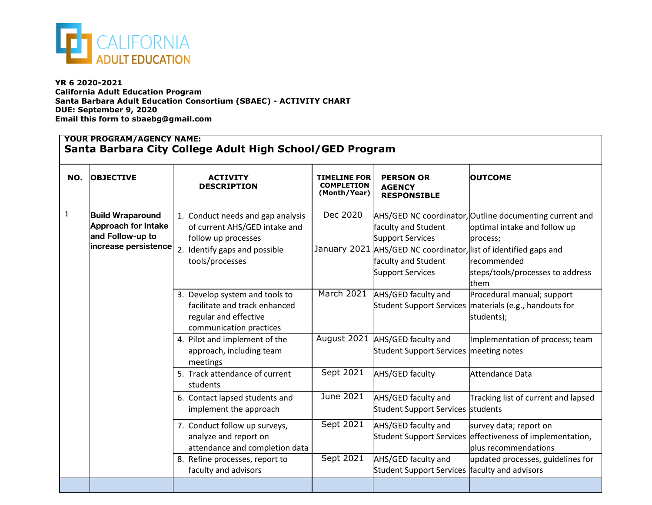

**YR 6 2020-2021 California Adult Education Program Santa Barbara Adult Education Consortium (SBAEC) - ACTIVITY CHART DUE: September 9, 2020 Email this form to sbaebg@gmail.com**

|     | <b>YOUR PROGRAM/AGENCY NAME:</b><br>Santa Barbara City College Adult High School/GED Program |                                                                                                                     |                                                          |                                                                                        |                                                                                                     |
|-----|----------------------------------------------------------------------------------------------|---------------------------------------------------------------------------------------------------------------------|----------------------------------------------------------|----------------------------------------------------------------------------------------|-----------------------------------------------------------------------------------------------------|
| NO. | <b>OBJECTIVE</b>                                                                             | <b>ACTIVITY</b><br><b>DESCRIPTION</b>                                                                               | <b>TIMELINE FOR</b><br><b>COMPLETION</b><br>(Month/Year) | <b>PERSON OR</b><br><b>AGENCY</b><br><b>RESPONSIBLE</b>                                | <b>OUTCOME</b>                                                                                      |
| 1   | <b>Build Wraparound</b><br><b>Approach for Intake</b><br>and Follow-up to                    | 1. Conduct needs and gap analysis<br>of current AHS/GED intake and<br>follow up processes                           | Dec 2020                                                 | faculty and Student<br>Support Services                                                | AHS/GED NC coordinator, Outline documenting current and<br>optimal intake and follow up<br>process; |
|     | increase persistence                                                                         | 2. Identify gaps and possible<br>tools/processes                                                                    |                                                          | January 2021 AHS/GED NC coordinator,<br>faculty and Student<br><b>Support Services</b> | list of identified gaps and<br>recommended<br>steps/tools/processes to address<br>them              |
|     |                                                                                              | 3. Develop system and tools to<br>facilitate and track enhanced<br>regular and effective<br>communication practices | March 2021                                               | AHS/GED faculty and<br><b>Student Support Services</b>                                 | Procedural manual; support<br>materials (e.g., handouts for<br>students);                           |
|     |                                                                                              | 4. Pilot and implement of the<br>approach, including team<br>meetings                                               | August 2021                                              | AHS/GED faculty and<br><b>Student Support Services</b>                                 | Implementation of process; team<br>meeting notes                                                    |
|     |                                                                                              | 5. Track attendance of current<br>students                                                                          | Sept 2021                                                | AHS/GED faculty                                                                        | Attendance Data                                                                                     |
|     |                                                                                              | 6. Contact lapsed students and<br>implement the approach                                                            | June 2021                                                | AHS/GED faculty and<br>Student Support Services students                               | Tracking list of current and lapsed                                                                 |
|     |                                                                                              | 7. Conduct follow up surveys,<br>analyze and report on<br>attendance and completion data                            | Sept 2021                                                | AHS/GED faculty and<br><b>Student Support Services</b>                                 | survey data; report on<br>effectiveness of implementation,<br>plus recommendations                  |
|     |                                                                                              | 8. Refine processes, report to<br>faculty and advisors                                                              | <b>Sept 2021</b>                                         | AHS/GED faculty and<br><b>Student Support Services</b>                                 | updated processes, guidelines for<br>faculty and advisors                                           |
|     |                                                                                              |                                                                                                                     |                                                          |                                                                                        |                                                                                                     |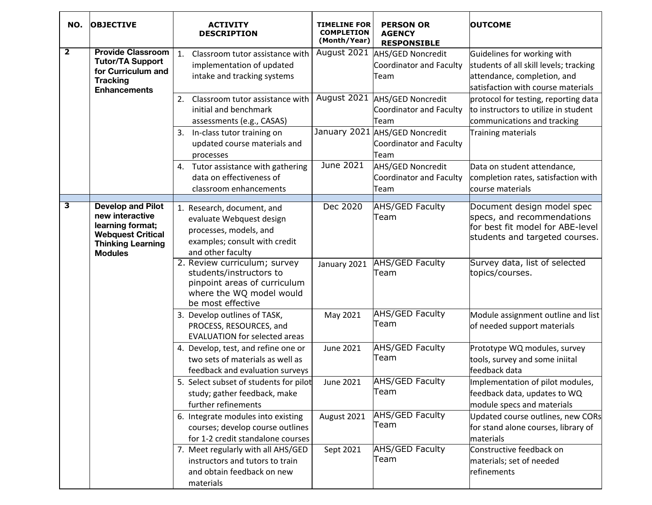| NO.          | <b>OBJECTIVE</b>                                                                                                                          | <b>ACTIVITY</b><br><b>DESCRIPTION</b>                                                                                                    | <b>TIMELINE FOR</b><br><b>COMPLETION</b><br>(Month/Year) | <b>PERSON OR</b><br><b>AGENCY</b><br><b>RESPONSIBLE</b>            | <b>OUTCOME</b>                                                                                                                             |
|--------------|-------------------------------------------------------------------------------------------------------------------------------------------|------------------------------------------------------------------------------------------------------------------------------------------|----------------------------------------------------------|--------------------------------------------------------------------|--------------------------------------------------------------------------------------------------------------------------------------------|
| $\mathbf{2}$ | <b>Provide Classroom</b><br><b>Tutor/TA Support</b><br>for Curriculum and<br><b>Tracking</b><br><b>Enhancements</b>                       | Classroom tutor assistance with<br>$\mathbf{1}$ .<br>implementation of updated<br>intake and tracking systems                            | August 2021                                              | <b>AHS/GED Noncredit</b><br>Coordinator and Faculty<br>Team        | Guidelines for working with<br>students of all skill levels; tracking<br>attendance, completion, and<br>satisfaction with course materials |
|              |                                                                                                                                           | Classroom tutor assistance with<br>2.<br>initial and benchmark<br>assessments (e.g., CASAS)                                              | August 2021                                              | AHS/GED Noncredit<br>Coordinator and Faculty<br>Team               | protocol for testing, reporting data<br>to instructors to utilize in student<br>communications and tracking                                |
|              |                                                                                                                                           | In-class tutor training on<br>3.<br>updated course materials and<br>processes                                                            |                                                          | January 2021 AHS/GED Noncredit<br>Coordinator and Faculty<br>Team  | Training materials                                                                                                                         |
|              |                                                                                                                                           | 4. Tutor assistance with gathering<br>data on effectiveness of<br>classroom enhancements                                                 | June 2021                                                | <b>AHS/GED Noncredit</b><br><b>Coordinator and Faculty</b><br>Team | Data on student attendance,<br>completion rates, satisfaction with<br>course materials                                                     |
| 3            | <b>Develop and Pilot</b><br>new interactive<br>learning format;<br><b>Webquest Critical</b><br><b>Thinking Learning</b><br><b>Modules</b> | 1. Research, document, and<br>evaluate Webquest design<br>processes, models, and<br>examples; consult with credit<br>and other faculty   | Dec 2020                                                 | <b>AHS/GED Faculty</b><br>Team                                     | Document design model spec<br>specs, and recommendations<br>for best fit model for ABE-level<br>students and targeted courses.             |
|              |                                                                                                                                           | 2. Review curriculum; survey<br>students/instructors to<br>pinpoint areas of curriculum<br>where the WQ model would<br>be most effective | January 2021                                             | <b>AHS/GED Faculty</b><br>Team                                     | Survey data, list of selected<br>topics/courses.                                                                                           |
|              |                                                                                                                                           | 3. Develop outlines of TASK,<br>PROCESS, RESOURCES, and<br><b>EVALUATION for selected areas</b>                                          | May 2021                                                 | <b>AHS/GED Faculty</b><br>Team                                     | Module assignment outline and list<br>of needed support materials                                                                          |
|              |                                                                                                                                           | 4. Develop, test, and refine one or<br>two sets of materials as well as<br>feedback and evaluation surveys                               | <b>June 2021</b>                                         | <b>AHS/GED Faculty</b><br>Team                                     | Prototype WQ modules, survey<br>tools, survey and some iniital<br>feedback data                                                            |
|              |                                                                                                                                           | 5. Select subset of students for pilot<br>study; gather feedback, make<br>further refinements                                            | <b>June 2021</b>                                         | <b>AHS/GED Faculty</b><br>Team                                     | Implementation of pilot modules,<br>feedback data, updates to WQ<br>module specs and materials                                             |
|              |                                                                                                                                           | 6. Integrate modules into existing<br>courses; develop course outlines<br>for 1-2 credit standalone courses                              | August 2021                                              | <b>AHS/GED Faculty</b><br>Team                                     | Updated course outlines, new CORs<br>for stand alone courses, library of<br>materials                                                      |
|              |                                                                                                                                           | 7. Meet regularly with all AHS/GED<br>instructors and tutors to train<br>and obtain feedback on new<br>materials                         | Sept 2021                                                | AHS/GED Faculty<br>Team                                            | Constructive feedback on<br>materials; set of needed<br>refinements                                                                        |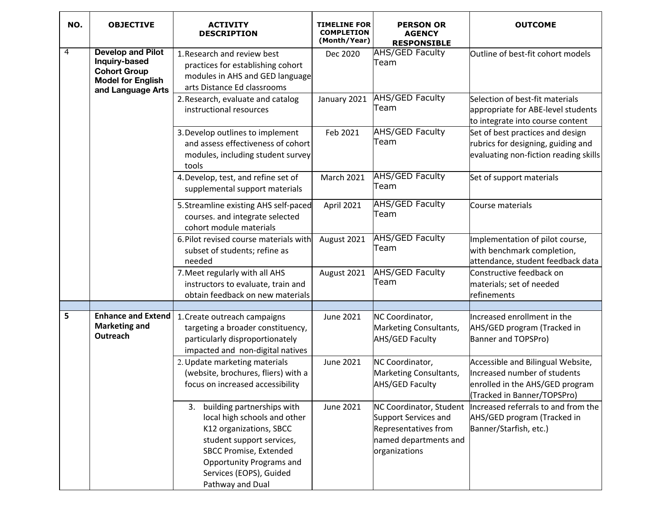| NO. | <b>OBJECTIVE</b>                                                                                                  | <b>ACTIVITY</b><br><b>DESCRIPTION</b>                                                                                                                                                                                                    | <b>TIMELINE FOR</b><br><b>COMPLETION</b><br>(Month/Year) | <b>PERSON OR</b><br><b>AGENCY</b><br><b>RESPONSIBLE</b>                                                           | <b>OUTCOME</b>                                                                                                                      |
|-----|-------------------------------------------------------------------------------------------------------------------|------------------------------------------------------------------------------------------------------------------------------------------------------------------------------------------------------------------------------------------|----------------------------------------------------------|-------------------------------------------------------------------------------------------------------------------|-------------------------------------------------------------------------------------------------------------------------------------|
| 4   | <b>Develop and Pilot</b><br>Inquiry-based<br><b>Cohort Group</b><br><b>Model for English</b><br>and Language Arts | 1. Research and review best<br>practices for establishing cohort<br>modules in AHS and GED language<br>arts Distance Ed classrooms                                                                                                       | Dec 2020                                                 | <b>AHS/GED Faculty</b><br>Team                                                                                    | Outline of best-fit cohort models                                                                                                   |
|     |                                                                                                                   | 2. Research, evaluate and catalog<br>instructional resources                                                                                                                                                                             | January 2021                                             | <b>AHS/GED Faculty</b><br>Team                                                                                    | Selection of best-fit materials<br>appropriate for ABE-level students<br>to integrate into course content                           |
|     |                                                                                                                   | 3. Develop outlines to implement<br>and assess effectiveness of cohort<br>modules, including student survey<br>tools                                                                                                                     | Feb 2021                                                 | <b>AHS/GED Faculty</b><br>Team                                                                                    | Set of best practices and design<br>rubrics for designing, guiding and<br>evaluating non-fiction reading skills                     |
|     |                                                                                                                   | 4. Develop, test, and refine set of<br>supplemental support materials                                                                                                                                                                    | <b>March 2021</b>                                        | <b>AHS/GED Faculty</b><br>Team                                                                                    | Set of support materials                                                                                                            |
|     |                                                                                                                   | 5. Streamline existing AHS self-paced<br>courses. and integrate selected<br>cohort module materials                                                                                                                                      | <b>April 2021</b>                                        | <b>AHS/GED Faculty</b><br>Team                                                                                    | Course materials                                                                                                                    |
|     |                                                                                                                   | 6. Pilot revised course materials with<br>subset of students; refine as<br>needed                                                                                                                                                        | August 2021                                              | <b>AHS/GED Faculty</b><br>Team                                                                                    | Implementation of pilot course,<br>with benchmark completion,<br>attendance, student feedback data                                  |
|     |                                                                                                                   | 7. Meet regularly with all AHS<br>instructors to evaluate, train and<br>obtain feedback on new materials                                                                                                                                 | August 2021                                              | <b>AHS/GED Faculty</b><br>Team                                                                                    | Constructive feedback on<br>materials; set of needed<br>refinements                                                                 |
|     |                                                                                                                   |                                                                                                                                                                                                                                          |                                                          |                                                                                                                   |                                                                                                                                     |
| 5   | <b>Enhance and Extend</b><br><b>Marketing and</b><br>Outreach                                                     | 1. Create outreach campaigns<br>targeting a broader constituency,<br>particularly disproportionately<br>impacted and non-digital natives                                                                                                 | <b>June 2021</b>                                         | NC Coordinator,<br>Marketing Consultants,<br><b>AHS/GED Faculty</b>                                               | Increased enrollment in the<br>AHS/GED program (Tracked in<br>Banner and TOPSPro)                                                   |
|     |                                                                                                                   | 2. Update marketing materials<br>(website, brochures, fliers) with a<br>focus on increased accessibility                                                                                                                                 | <b>June 2021</b>                                         | NC Coordinator,<br>Marketing Consultants,<br><b>AHS/GED Faculty</b>                                               | Accessible and Bilingual Website,<br>Increased number of students<br>enrolled in the AHS/GED program<br>(Tracked in Banner/TOPSPro) |
|     |                                                                                                                   | 3. building partnerships with<br>local high schools and other<br>K12 organizations, SBCC<br>student support services,<br><b>SBCC Promise, Extended</b><br><b>Opportunity Programs and</b><br>Services (EOPS), Guided<br>Pathway and Dual | June 2021                                                | NC Coordinator, Student<br>Support Services and<br>Representatives from<br>named departments and<br>organizations | Increased referrals to and from the<br>AHS/GED program (Tracked in<br>Banner/Starfish, etc.)                                        |